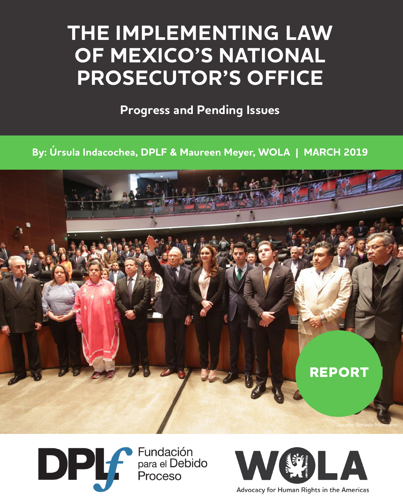# **THE IMPLEMENTING LAW OF MEXICO'S NATIONAL PROSECUTOR'S OFFICE**

**Progress and Pending Issues**

**By: Úrsula Indacochea, DPLF & Maureen Meyer, WOLA | MARCH 2019**







Advocacy for Human Rights in the Americas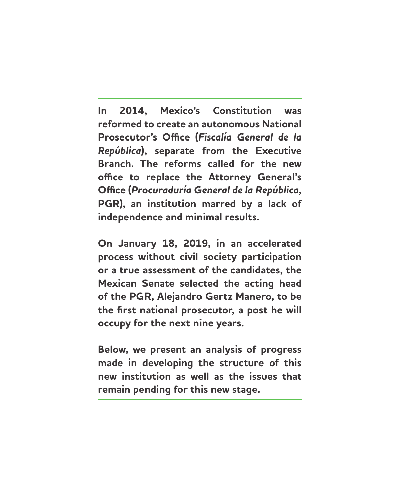**In 2014, Mexico's Constitution was reformed to create an autonomous National Prosecutor's Office (***Fiscalía General de la República***), separate from the Executive Branch. The reforms called for the new office to replace the Attorney General's Office (***Procuraduría General de la República***, PGR), an institution marred by a lack of independence and minimal results.** 

**On January 18, 2019, in an accelerated process without civil society participation or a true assessment of the candidates, the Mexican Senate selected the acting head of the PGR, Alejandro Gertz Manero, to be the first national prosecutor, a post he will occupy for the next nine years.** 

**Below, we present an analysis of progress made in developing the structure of this new institution as well as the issues that remain pending for this new stage.**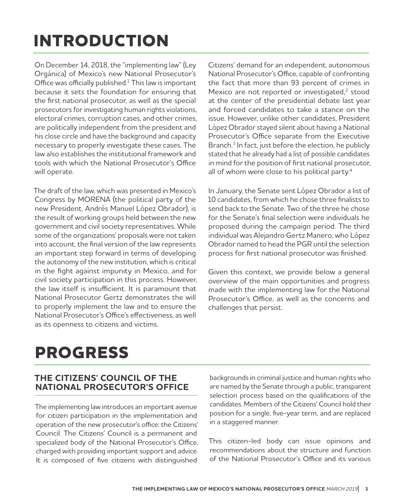# **INTRODUCTION**

On December 14, 2018, the "[implementing law](http://www.diputados.gob.mx/LeyesBiblio/pdf/LOFGR_201218.pdf)" (Ley Orgánica) of Mexico's new National Prosecutor's Office was officially published.<sup>1</sup> This law is important because it sets the foundation for ensuring that the first national prosecutor, as well as the special prosecutors for investigating human rights violations, electoral crimes, corruption cases, and other crimes, are politically independent from the president and his close circle and have the background and capacity necessary to properly investigate these cases. The law also establishes the institutional framework and tools with which the National Prosecutor's Office will operate.

The draft of the law, which was presented in Mexico's Congress by MORENA (the political party of the new President, Andrés Manuel López Obrador), is the result of working groups held between the new government and civil society representatives. While some of the organizations' proposals were not taken into account, the final version of the law represents an important step forward in terms of developing the autonomy of the new institution, which is critical in the fight against impunity in Mexico, and for civil society participation in this process. However, the law itself is insufficient. It is paramount that National Prosecutor Gertz demonstrates the will to properly implement the law and to ensure the National Prosecutor's Office's effectiveness, as well as its openness to citizens and victims.

Citizens' demand for an independent, autonomous National Prosecutor's Office, capable of confronting the fact that more than [93 percent of crimes](http://www.beta.inegi.org.mx/contenidos/saladeprensa/boletines/2018/EstSegPub/envipe2018_09.pdf) in Mexico are not reported or investigated,<sup>2</sup> stood at the center of the presidential debate last year and forced candidates to take a stance on the issue. However, [unlike other candidates](https://www.nacion321.com/elecciones/fiscalia-autonoma-asi-responden-los-presidenciable-a-la-coparmex), President López Obrador stayed silent about having a National Prosecutor's Office separate from the Executive Branch.<sup>3</sup> In fact, just before the election, he publicly stated that he already had a [list of possible candidates](https://morena.si/archivos/17538) in mind for the position of first national prosecutor, all of whom were close to his political party.<sup>4</sup>

In January, the Senate sent López Obrador a list of 10 candidates, from which he chose three finalists to send back to the Senate. Two of the three he chose for the Senate's final selection were individuals he proposed during the campaign period. The third individual was Alejandro Gertz Manero, who López Obrador named to head the PGR until the selection process for first national prosecutor was finished.

Given this context, we provide below a general overview of the main opportunities and progress made with the implementing law for the National Prosecutor's Office, as well as the concerns and challenges that persist.

## **PROGRESS**

#### **THE CITIZENS' COUNCIL OF THE NATIONAL PROSECUTOR'S OFFICE**

The implementing law introduces an important avenue for citizen participation in the implementation and operation of the new prosecutor's office: the Citizens' Council. The Citizens' Council is a permanent and specialized body of the National Prosecutor's Office, charged with providing important support and advice. It is composed of five citizens with distinguished

backgrounds in criminal justice and human rights who are named by the Senate through a public, transparent selection process based on the qualifications of the candidates. Members of the Citizens' Council hold their position for a single, five-year term, and are replaced in a staggered manner.

This citizen-led body can issue opinions and recommendations about the structure and function of the National Prosecutor's Office and its various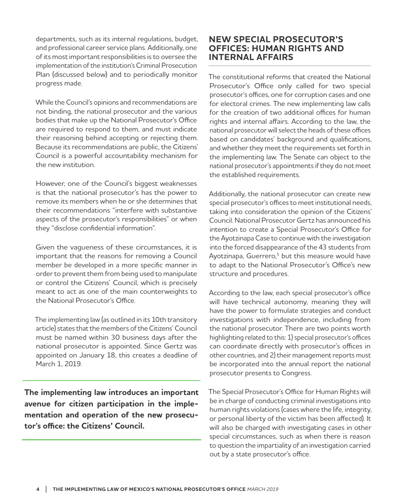departments, such as its internal regulations, budget, and professional career service plans. Additionally, one of its most important responsibilities is to oversee the implementation of the institution's Criminal Prosecution Plan (discussed below) and to periodically monitor progress made.

While the Council's opinions and recommendations are not binding, the national prosecutor and the various bodies that make up the National Prosecutor's Office are required to respond to them, and must indicate their reasoning behind accepting or rejecting them. Because its recommendations are public, the Citizens' Council is a powerful accountability mechanism for the new institution.

However, one of the Council's biggest weaknesses is that the national prosecutor's has the power to remove its members when he or she determines that their recommendations "interfere with substantive aspects of the prosecutor's responsibilities" or when they "disclose confidential information".

Given the vagueness of these circumstances, it is important that the reasons for removing a Council member be developed in a more specific manner in order to prevent them from being used to manipulate or control the Citizens' Council, which is precisely meant to act as one of the main counterweights to the National Prosecutor's Office.

The implementing law (as outlined in its 10th transitory article) states that the members of the Citizens' Council must be named within 30 business days after the national prosecutor is appointed. Since Gertz was appointed on January 18, this creates a deadline of March 1, 2019.

**The implementing law introduces an important avenue for citizen participation in the implementation and operation of the new prosecutor's office: the Citizens' Council.**

#### **NEW SPECIAL PROSECUTOR'S OFFICES: HUMAN RIGHTS AND INTERNAL AFFAIRS**

The constitutional reforms that created the National Prosecutor's Office only called for two special prosecutor's offices, one for corruption cases and one for electoral crimes. The new implementing law calls for the creation of two additional offices for human rights and internal affairs. According to the law, the national prosecutor will select the heads of these offices based on candidates' background and qualifications, and whether they meet the requirements set forth in the implementing law. The Senate can object to the national prosecutor's appointments if they do not meet the established requirements.

Additionally, the national prosecutor can create new special prosecutor's offices to meet institutional needs, taking into consideration the opinion of the Citizens' Council. National Prosecutor Gertz has announced his intention to create a [Special Prosecutor's Office for](https://www.forbes.com.mx/se-creara-una-fiscalia-especial-sobre-el-caso-ayotzinapa-gertz-manero/)  [the Ayotzinapa Case](https://www.forbes.com.mx/se-creara-una-fiscalia-especial-sobre-el-caso-ayotzinapa-gertz-manero/) to continue with the investigation into the forced disappearance of the 43 students from Ayotzinapa, Guerrero,<sup>5</sup> but this measure would have to adapt to the National Prosecutor's Office's new structure and procedures.

According to the law, each special prosecutor's office will have technical autonomy, meaning they will have the power to formulate strategies and conduct investigations with independence, including from the national prosecutor. There are two points worth highlighting related to this: 1) special prosecutor's offices can coordinate directly with prosecutor's offices in other countries, and 2) their management reports must be incorporated into the annual report the national prosecutor presents to Congress.

The Special Prosecutor's Office for Human Rights will be in charge of conducting criminal investigations into human rights violations (cases where the life, integrity, or personal liberty of the victim has been affected). It will also be charged with investigating cases in other special circumstances, such as when there is reason to question the impartiality of an investigation carried out by a state prosecutor's office.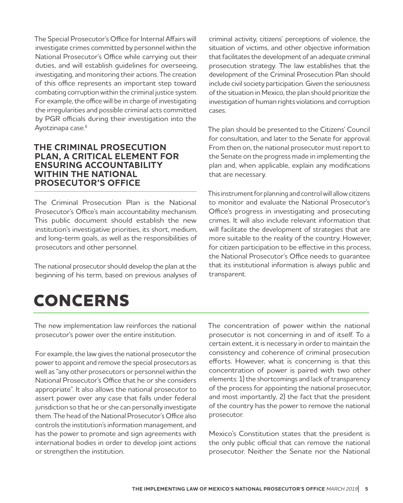The Special Prosecutor's Office for Internal Affairs will investigate crimes committed by personnel within the National Prosecutor's Office while carrying out their duties, and will establish guidelines for overseeing, investigating, and monitoring their actions. The creation of this office represents an important step toward combating corruption within the criminal justice system. For example, the office will be in charge of investigating the [irregularities](http://centroprodh.org.mx/2019/01/13/ordena-poder-judicial-de-la-federacion-investigar-posible-responsabilidad-penal-de-funcionarios-de-pgr-por-irregularidades-en-investigacion-del-caso-ayotzinapa/) and possible criminal acts committed by PGR officials during their investigation into the Ayotzinapa case.<sup>6</sup>

#### **THE CRIMINAL PROSECUTION PLAN, A CRITICAL ELEMENT FOR ENSURING ACCOUNTABILITY WITHIN THE NATIONAL PROSECUTOR'S OFFICE**

The Criminal Prosecution Plan is the National Prosecutor's Office's main accountability mechanism. This public document should establish the new institution's investigative priorities, its short, medium, and long-term goals, as well as the responsibilities of prosecutors and other personnel.

The national prosecutor should develop the plan at the beginning of his term, based on previous analyses of criminal activity, citizens' perceptions of violence, the situation of victims, and other objective information that facilitates the development of an adequate criminal prosecution strategy. The law establishes that the development of the Criminal Prosecution Plan should include civil society participation. Given the seriousness of the situation in Mexico, the plan should prioritize the investigation of human rights violations and corruption cases.

The plan should be presented to the Citizens' Council for consultation, and later to the Senate for approval. From then on, the national prosecutor must report to the Senate on the progress made in implementing the plan and, when applicable, explain any modifications that are necessary.

This instrument for planning and control will allow citizens to monitor and evaluate the National Prosecutor's Office's progress in investigating and prosecuting crimes. It will also include relevant information that will facilitate the development of strategies that are more suitable to the reality of the country. However, for citizen participation to be effective in this process, the National Prosecutor's Office needs to guarantee that its institutional information is always public and transparent.

## **CONCERNS**

The new implementation law reinforces the national prosecutor's power over the entire institution.

For example, the law gives the national prosecutor the power to appoint and remove the special prosecutors as well as "any other prosecutors or personnel within the National Prosecutor's Office that he or she considers appropriate". It also allows the national prosecutor to assert power over any case that falls under federal jurisdiction so that he or she can personally investigate them. The head of the National Prosecutor's Office also controls the institution's information management, and has the power to promote and sign agreements with international bodies in order to develop joint actions or strengthen the institution.

The concentration of power within the national prosecutor is not concerning in and of itself. To a certain extent, it is necessary in order to maintain the consistency and coherence of criminal prosecution efforts. However, what is concerning is that this concentration of power is paired with two other elements: 1) the shortcomings and lack of transparency of the process for appointing the national prosecutor, and most importantly, 2) the fact that the president of the country has the power to remove the national prosecutor.

Mexico's Constitution states that the president is the only public official that can remove the national prosecutor. Neither the Senate nor the National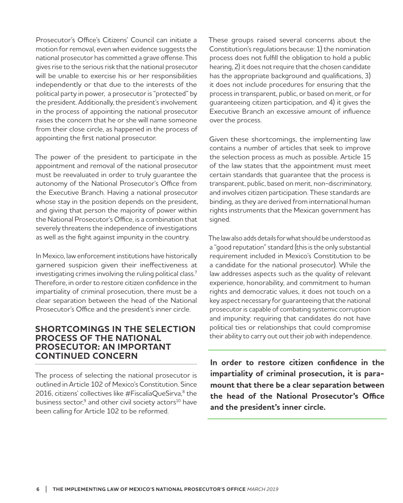Prosecutor's Office's Citizens' Council can initiate a motion for removal, even when evidence suggests the national prosecutor has committed a grave offense. This gives rise to the serious risk that the national prosecutor will be unable to exercise his or her responsibilities independently or that due to the interests of the political party in power, a prosecutor is "protected" by the president. Additionally, the president's involvement in the process of appointing the national prosecutor raises the concern that he or she will name someone from their close circle, as happened in the process of appointing the first national prosecutor.

The power of the president to participate in the appointment and removal of the national prosecutor must be reevaluated in order to truly guarantee the autonomy of the National Prosecutor's Office from the Executive Branch. Having a national prosecutor whose stay in the position depends on the president, and giving that person the majority of power within the National Prosecutor's Office, is a combination that severely threatens the independence of investigations as well as the fight against impunity in the country.

In Mexico, law enforcement institutions have historically garnered suspicion given their [ineffectiveness at](https://www.wola.org/analysis/wola-report-fiscalia-works-mexico/) [investigating crimes involving the ruling political class](https://www.wola.org/analysis/wola-report-fiscalia-works-mexico/). 7 Therefore, in order to restore citizen confidence in the impartiality of criminal prosecution, there must be a clear separation between the head of the National Prosecutor's Office and the president's inner circle.

#### **SHORTCOMINGS IN THE SELECTION PROCESS OF THE NATIONAL PROSECUTOR: AN IMPORTANT CONTINUED CONCERN**

The process of selecting the national prosecutor is outlined in Article 102 of Mexico's Constitution. Since 2016, citizens' collectives like [#FiscalíaQueSirva](http://fiscaliaquesirva.mx/), 8 the business sector, $9$  and other civil society actors<sup>10</sup> have been calling for Article 102 to be reformed.

These groups raised several concerns about the Constitution's regulations because: 1) the nomination process does not fulfill the obligation to hold a public hearing, 2) it does not require that the chosen candidate has the appropriate background and qualifications, 3) it does not include procedures for ensuring that the process in transparent, public, or based on merit, or for guaranteeing citizen participation, and 4) it gives the Executive Branch an excessive amount of influence over the process.

Given these shortcomings, the implementing law contains a number of articles that seek to improve the selection process as much as possible. Article 15 of the law states that the appointment must meet certain standards that guarantee that the process is transparent, public, based on merit, non-discriminatory, and involves citizen participation. These standards are binding, as they are derived from international human rights instruments that the Mexican government has signed.

The law also adds details for what should be understood as a "good reputation" standard (this is the only substantial requirement included in Mexico's Constitution to be a candidate for the national prosecutor). While the law addresses aspects such as the quality of relevant experience, honorability, and commitment to human rights and democratic values, it does not touch on a key aspect necessary for guaranteeing that the national prosecutor is capable of combating systemic corruption and impunity: requiring that candidates do not have political ties or relationships that could compromise their ability to carry out out their job with independence.

**In order to restore citizen confidence in the impartiality of criminal prosecution, it is paramount that there be a clear separation between the head of the National Prosecutor's Office and the president's inner circle.**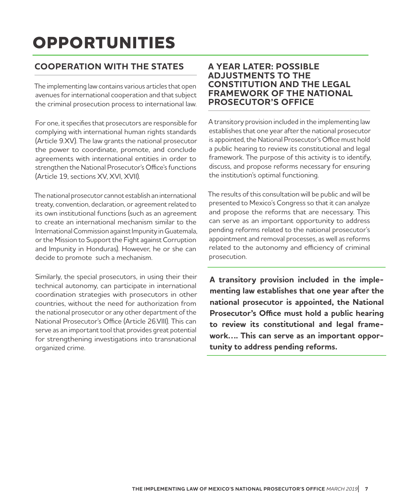# **OPPORTUNITIES**

#### **COOPERATION WITH THE STATES**

The implementing law contains various articles that open avenues for international cooperation and that subject the criminal prosecution process to international law.

For one, it specifies that prosecutors are responsible for complying with international human rights standards (Article 9.XV). The law grants the national prosecutor the power to coordinate, promote, and conclude agreements with international entities in order to strengthen the National Prosecutor's Office's functions (Article 19, sections XV, XVI, XVII).

The national prosecutor cannot establish an international treaty, convention, declaration, or agreement related to its own institutional functions (such as an agreement to create an international mechanism similar to the International Commission against Impunity in Guatemala, or the Mission to Support the Fight against Corruption and Impunity in Honduras). However, he or she can decide to promote such a mechanism.

Similarly, the special prosecutors, in using their their technical autonomy, can participate in international coordination strategies with prosecutors in other countries, without the need for authorization from the national prosecutor or any other department of the National Prosecutor's Office (Article 26.VIII). This can serve as an important tool that provides great potential for strengthening investigations into transnational organized crime.

#### **A YEAR LATER: POSSIBLE ADJUSTMENTS TO THE CONSTITUTION AND THE LEGAL FRAMEWORK OF THE NATIONAL PROSECUTOR'S OFFICE**

A transitory provision included in the implementing law establishes that one year after the national prosecutor is appointed, the National Prosecutor's Office must hold a public hearing to review its constitutional and legal framework. The purpose of this activity is to identify, discuss, and propose reforms necessary for ensuring the institution's optimal functioning.

The results of this consultation will be public and will be presented to Mexico's Congress so that it can analyze and propose the reforms that are necessary. This can serve as an important opportunity to address pending reforms related to the national prosecutor's appointment and removal processes, as well as reforms related to the autonomy and efficiency of criminal prosecution.

**A transitory provision included in the implementing law establishes that one year after the national prosecutor is appointed, the National Prosecutor's Office must hold a public hearing to review its constitutional and legal framework…. This can serve as an important opportunity to address pending reforms.**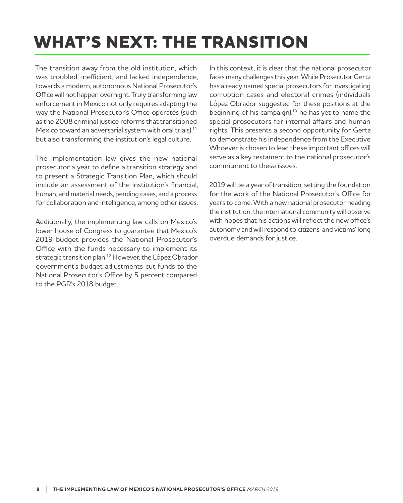# **WHAT'S NEXT: THE TRANSITION**

The transition away from the old institution, which was troubled, inefficient, and lacked independence, towards a modern, autonomous National Prosecutor's Office will not happen overnight. Truly transforming law enforcement in Mexico not only requires adapting the way the National Prosecutor's Office operates (such as the 2008 [criminal justice reforms](https://www.wola.org/es/analisis/wola-report-mexicos-new-criminal-justice-system/) that transitioned Mexico toward an adversarial system with oral trials), $11$ but also transforming the institution's legal culture.

The implementation law gives the new national prosecutor a year to define a transition strategy and to present a Strategic Transition Plan, which should include an assessment of the institution's financial, human, and material needs, pending cases, and a process for collaboration and intelligence, among other issues.

Additionally, the implementing law calls on Mexico's lower house of Congress to guarantee that [Mexico's](https://www.dof.gob.mx/nota_detalle.php?codigo=5547479&fecha=28/12/2018) [2019 budget](https://www.dof.gob.mx/nota_detalle.php?codigo=5547479&fecha=28/12/2018) provides the National Prosecutor's Office with the funds necessary to implement its strategic transition plan.<sup>12</sup> However, the López Obrador government's budget adjustments cut funds to the National Prosecutor's Office by 5 percent compared to the PGR's 2018 budget.

In this context, it is clear that the national prosecutor faces many challenges this year. While Prosecutor Gertz has already named special prosecutors for investigating corruption cases and electoral crimes (individuals [López Obrador suggested](https://www.elfinanciero.com.mx/nacional/esta-es-la-propuesta-de-amlo-para-fiscal-general-anticorrupcion-y-fepade) for these positions at the beginning of his campaign), $13$  he has yet to name the special prosecutors for internal affairs and human rights. This presents a second opportunity for Gertz to demonstrate his independence from the Executive. Whoever is chosen to lead these important offices will serve as a key testament to the national prosecutor's commitment to these issues.

2019 will be a year of transition, setting the foundation for the work of the National Prosecutor's Office for years to come. With a new national prosecutor heading the institution, the international community will observe with hopes that his actions will reflect the new office's autonomy and will respond to citizens' and victims' long overdue demands for justice.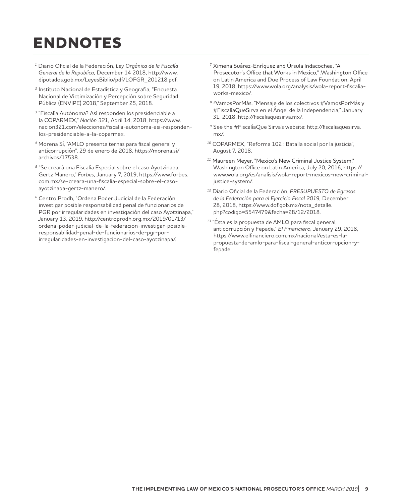## **ENDNOTES**

- <sup>1</sup>Diario Oficial de la Federación, *Ley Orgánica de la Fiscalía General de la Republica,* December 14 2018, http://www. diputados.gob.mx/LeyesBiblio/pdf/LOFGR\_201218.pdf*.*
- <sup>2</sup> Instituto Nacional de Estadística y Geografía, "Encuesta Nacional de Victimización y Percepción sobre Seguridad Pública (ENVIPE) 2018," September 25, 2018.
- <sup>3</sup>"Fiscalía Autónoma? Así responden los presidenciable a la COPARMEX," *Nación 321,* April 14, 2018, https://www. nacion321.com/elecciones/fiscalia-autonoma-asi-respondenlos-presidenciable-a-la-coparmex.
- <sup>4</sup>Morena Sí, "AMLO presenta ternas para fiscal general y anticorrupción", 29 de enero de 2018, https://morena.si/ archivos/17538.
- <sup>5</sup>"Se creará una Fiscalía Especial sobre el caso Ayotzinapa: Gertz Manero," *Forbes*, January 7, 2019, https://www.forbes. com.mx/se-creara-una-fiscalia-especial-sobre-el-casoayotzinapa-gertz-manero/.
- <sup>6</sup> Centro Prodh, "Ordena Poder Judicial de la Federación investigar posible responsabilidad penal de funcionarios de PGR por irregularidades en investigación del caso Ayotzinapa," January 13, 2019, http://centroprodh.org.mx/2019/01/13/ ordena-poder-judicial-de-la-federacion-investigar-posibleresponsabilidad-penal-de-funcionarios-de-pgr-porirregularidades-en-investigacion-del-caso-ayotzinapa/.
- $^7$  Ximena Suárez-Enríquez and Úrsula Indacochea, "A Prosecutor's Office that Works in Mexico," .Washington Office on Latin America and Due Process of Law Foundation, April 19, 2018, https://www.wola.org/analysis/wola-report-fiscaliaworks-mexico/.
- 8 #VamosPorMás, "Mensaje de los colectivos #VamosPorMás y #FiscalíaQueSirva en el Ángel de la Independencia," January 31, 2018, http://fiscaliaquesirva.mx/.
- <sup>9</sup> See the #FiscalíaQue Sirva's website: http://fiscaliaquesirva. mx/.
- <sup>10</sup> COPARMEX, "Reforma 102 : Batalla social por la justicia", August 7, 2018.
- <sup>11</sup> Maureen Meyer, "Mexico's New Criminal Justice System," Washington Office on Latin America, July 20, 2016, https:// www.wola.org/es/analisis/wola-report-mexicos-new-criminaljustice-system/.
- <sup>12</sup>Diario Oficial de la Federación, *PRESUPUESTO de Egresos de la Federación para el Ejercicio Fiscal 2019,* December 28, 2018, https://www.dof.gob.mx/nota\_detalle. php?codigo=5547479&fecha=28/12/2018*.*
- <sup>13</sup> "Ésta es la propuesta de AMLO para fiscal general, anticorrupción y Fepade," El Financiero, January 29, 2018, https://www.elfinanciero.com.mx/nacional/esta-es-lapropuesta-de-amlo-para-fiscal-general-anticorrupcion-yfepade.